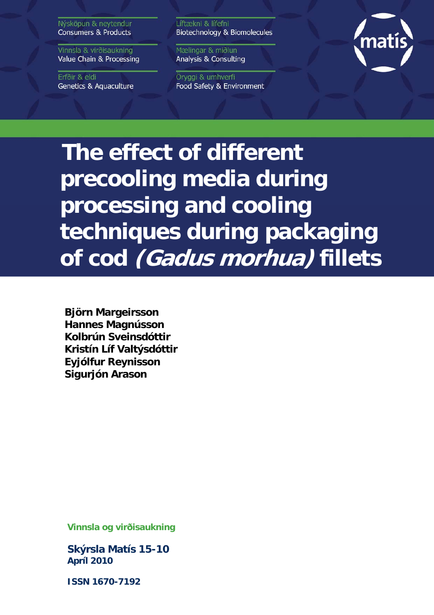Nýsköpun & neytendur **Consumers & Products** 

Vinnsla & virðisaukning Value Chain & Processing

Erfðir & eldi **Genetics & Aquaculture**  Líftækni & lífefni Biotechnology & Biomolecules

Mælingar & miðlun Analysis & Consulting

Öryggi & umhverfi Food Safety & Environment



**The effect of different precooling media during processing and cooling techniques during packaging of cod (Gadus morhua) fillets** 

**Björn Margeirsson Hannes Magnússon Kolbrún Sveinsdóttir Kristín Líf Valtýsdóttir Eyjólfur Reynisson Sigurjón Arason**

**Vinnsla og virðisaukning** 

**Skýrsla Matís 15-10 Apríl 2010** 

**ISSN 1670-7192**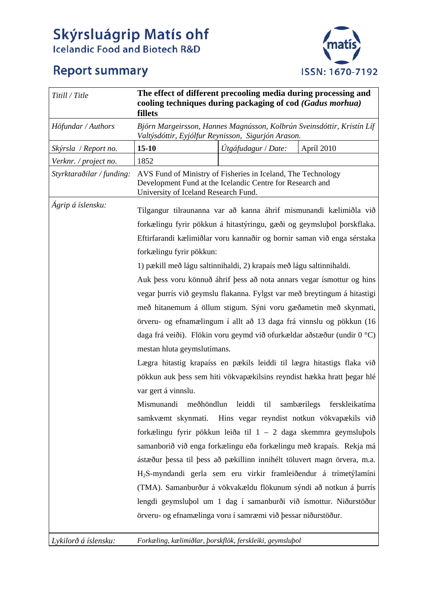# Skýrsluágrip Matís ohf Icelandic Food and Biotech R&D

# **Report summary**



| Titill / Title            | The effect of different precooling media during processing and<br>cooling techniques during packaging of cod (Gadus morhua)<br>fillets                            |                     |            |
|---------------------------|-------------------------------------------------------------------------------------------------------------------------------------------------------------------|---------------------|------------|
| Höfundar / Authors        | Björn Margeirsson, Hannes Magnússon, Kolbrún Sveinsdóttir, Kristín Líf<br>Valtýsdóttir, Eyjólfur Reynisson, Sigurjón Arason.                                      |                     |            |
| Skýrsla / Report no.      | $15 - 10$                                                                                                                                                         | Útgáfudagur / Date: | Apríl 2010 |
| Verknr. / project no.     | 1852                                                                                                                                                              |                     |            |
| Styrktaraðilar / funding: | AVS Fund of Ministry of Fisheries in Iceland, The Technology<br>Development Fund at the Icelandic Centre for Research and<br>University of Iceland Research Fund. |                     |            |
| Ágrip á íslensku:         | Tilgangur tilraunanna var að kanna áhrif mismunandi kælimiðla við                                                                                                 |                     |            |
|                           | forkælingu fyrir pökkun á hitastýringu, gæði og geymsluþol þorskflaka.                                                                                            |                     |            |
|                           | Eftirfarandi kælimiðlar voru kannaðir og bornir saman við enga sérstaka                                                                                           |                     |            |
|                           | forkælingu fyrir pökkun:                                                                                                                                          |                     |            |
|                           | 1) pækill með lágu saltinnihaldi, 2) krapaís með lágu saltinnihaldi.                                                                                              |                     |            |
|                           | Auk þess voru könnuð áhrif þess að nota annars vegar ísmottur og hins                                                                                             |                     |            |
|                           | vegar þurrís við geymslu flakanna. Fylgst var með breytingum á hitastigi                                                                                          |                     |            |
|                           | með hitanemum á öllum stigum. Sýni voru gæðametin með skynmati,                                                                                                   |                     |            |
|                           | örveru- og efnamælingum í allt að 13 daga frá vinnslu og pökkun (16                                                                                               |                     |            |
|                           | daga frá veiði). Flökin voru geymd við ofurkældar að stæður (undir 0 °C)                                                                                          |                     |            |
|                           | mestan hluta geymslutímans.                                                                                                                                       |                     |            |
|                           | Lægra hitastig krapaíss en pækils leiddi til lægra hitastigs flaka við                                                                                            |                     |            |
|                           | pökkun auk þess sem hiti vökvapækilsins reyndist hækka hratt þegar hlé                                                                                            |                     |            |
|                           | var gert á vinnslu.                                                                                                                                               |                     |            |
|                           | Mismunandi<br>meðhöndlun<br>leiddi<br>til<br>sambærilegs<br>ferskleikatíma                                                                                        |                     |            |
|                           | Hins vegar reyndist notkun vökvapækils við<br>samkvæmt skynmati.                                                                                                  |                     |            |
|                           | forkælingu fyrir pökkun leiða til $1 - 2$ daga skemmra geymsluþols                                                                                                |                     |            |
|                           | samanborið við enga forkælingu eða forkælingu með krapaís. Rekja má                                                                                               |                     |            |
|                           |                                                                                                                                                                   |                     |            |
|                           | ástæður þessa til þess að pækillinn innihélt töluvert magn örvera, m.a.                                                                                           |                     |            |
|                           | H <sub>2</sub> S-myndandi gerla sem eru virkir framleiðendur á trímetýlamíni                                                                                      |                     |            |
|                           | (TMA). Samanburður á vökvakældu flökunum sýndi að notkun á þurrís                                                                                                 |                     |            |
|                           | lengdi geymsluþol um 1 dag í samanburði við ísmottur. Niðurstöður                                                                                                 |                     |            |
|                           | örveru- og efnamælinga voru í samræmi við þessar niðurstöður.                                                                                                     |                     |            |

*Lykilorð á íslensku: Forkæling, kælimiðlar, þorskflök, ferskleiki, geymsluþol*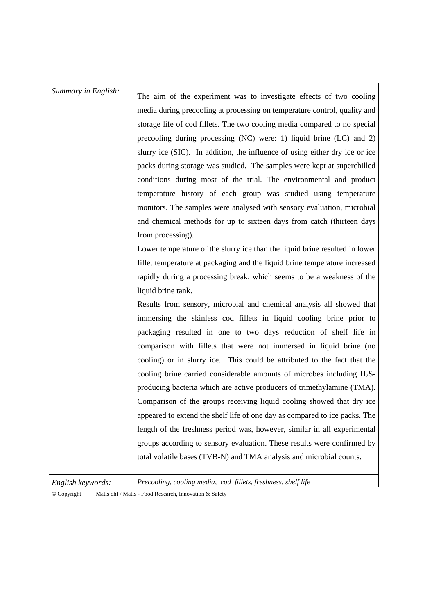## *Summary in English:* The aim of the experiment was to investigate effects of two cooling media during precooling at processing on temperature control, quality and storage life of cod fillets. The two cooling media compared to no special precooling during processing (NC) were: 1) liquid brine (LC) and 2) slurry ice (SIC). In addition, the influence of using either dry ice or ice packs during storage was studied. The samples were kept at superchilled conditions during most of the trial. The environmental and product temperature history of each group was studied using temperature monitors. The samples were analysed with sensory evaluation, microbial and chemical methods for up to sixteen days from catch (thirteen days from processing). Lower temperature of the slurry ice than the liquid brine resulted in lower fillet temperature at packaging and the liquid brine temperature increased rapidly during a processing break, which seems to be a weakness of the

Results from sensory, microbial and chemical analysis all showed that immersing the skinless cod fillets in liquid cooling brine prior to packaging resulted in one to two days reduction of shelf life in comparison with fillets that were not immersed in liquid brine (no cooling) or in slurry ice. This could be attributed to the fact that the cooling brine carried considerable amounts of microbes including  $H_2S$ producing bacteria which are active producers of trimethylamine (TMA). Comparison of the groups receiving liquid cooling showed that dry ice appeared to extend the shelf life of one day as compared to ice packs. The length of the freshness period was, however, similar in all experimental groups according to sensory evaluation. These results were confirmed by total volatile bases (TVB-N) and TMA analysis and microbial counts.

*English keywords: Precooling, cooling media, cod fillets, freshness, shelf life* 

liquid brine tank.

© Copyright Matís ohf / Matis - Food Research, Innovation & Safety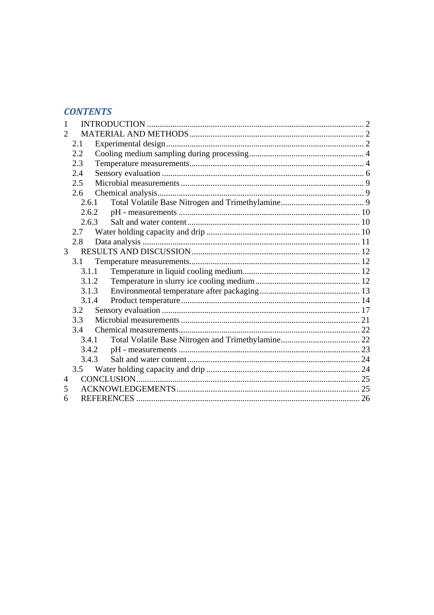## **CONTENTS**

| $\mathcal{D}_{\mathcal{A}}$ |                |       |  |
|-----------------------------|----------------|-------|--|
|                             | 2.1            |       |  |
|                             | 2.2            |       |  |
|                             | 2.3            |       |  |
|                             | 2.4            |       |  |
|                             | 2.5            |       |  |
|                             | 2.6            |       |  |
|                             | 2.6.1          |       |  |
|                             |                | 2.6.2 |  |
|                             |                | 2.6.3 |  |
|                             | 2.7            |       |  |
|                             | 2.8            |       |  |
|                             | 3 <sup>7</sup> |       |  |
|                             | 3.1            |       |  |
|                             |                | 3.1.1 |  |
|                             | 3.1.2          |       |  |
|                             | 3.1.3          |       |  |
|                             | 3.1.4          |       |  |
|                             | 3.2            |       |  |
|                             | 3.3            |       |  |
|                             | 3.4            |       |  |
|                             |                | 3.4.1 |  |
|                             |                | 3.4.2 |  |
|                             | 3.4.3          |       |  |
|                             | 3.5            |       |  |
| 4                           |                |       |  |
| 5                           |                |       |  |
| 6                           |                |       |  |
|                             |                |       |  |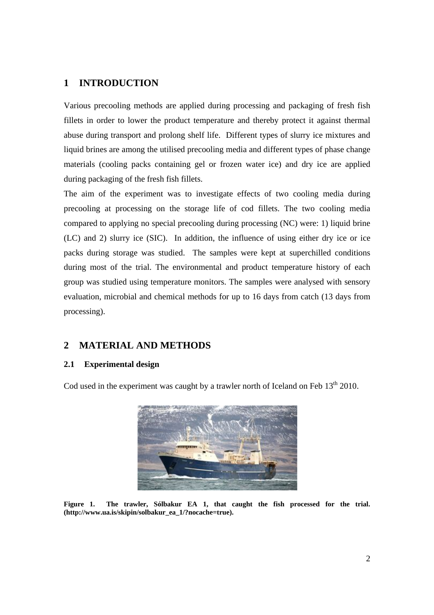## **1 INTRODUCTION**

Various precooling methods are applied during processing and packaging of fresh fish fillets in order to lower the product temperature and thereby protect it against thermal abuse during transport and prolong shelf life. Different types of slurry ice mixtures and liquid brines are among the utilised precooling media and different types of phase change materials (cooling packs containing gel or frozen water ice) and dry ice are applied during packaging of the fresh fish fillets.

The aim of the experiment was to investigate effects of two cooling media during precooling at processing on the storage life of cod fillets. The two cooling media compared to applying no special precooling during processing (NC) were: 1) liquid brine (LC) and 2) slurry ice (SIC). In addition, the influence of using either dry ice or ice packs during storage was studied. The samples were kept at superchilled conditions during most of the trial. The environmental and product temperature history of each group was studied using temperature monitors. The samples were analysed with sensory evaluation, microbial and chemical methods for up to 16 days from catch (13 days from processing).

## **2 MATERIAL AND METHODS**

## **2.1 Experimental design**

Cod used in the experiment was caught by a trawler north of Iceland on Feb  $13<sup>th</sup> 2010$ .



**Figure 1. The trawler, Sólbakur EA 1, that caught the fish processed for the trial. (http://www.ua.is/skipin/solbakur\_ea\_1/?nocache=true).**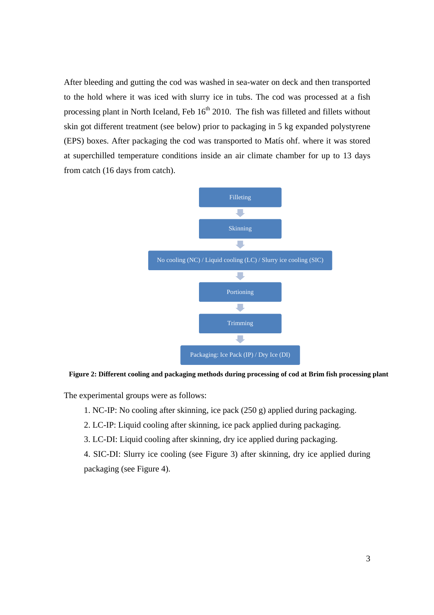After bleeding and gutting the cod was washed in sea-water on deck and then transported to the hold where it was iced with slurry ice in tubs. The cod was processed at a fish processing plant in North Iceland, Feb  $16<sup>th</sup> 2010$ . The fish was filleted and fillets without skin got different treatment (see below) prior to packaging in 5 kg expanded polystyrene (EPS) boxes. After packaging the cod was transported to Matís ohf. where it was stored at superchilled temperature conditions inside an air climate chamber for up to 13 days from catch (16 days from catch).



**Figure 2: Different cooling and packaging methods during processing of cod at Brim fish processing plant** 

The experimental groups were as follows:

- 1. NC-IP: No cooling after skinning, ice pack (250 g) applied during packaging.
- 2. LC-IP: Liquid cooling after skinning, ice pack applied during packaging.
- 3. LC-DI: Liquid cooling after skinning, dry ice applied during packaging.
- 4. SIC-DI: Slurry ice cooling (see Figure 3) after skinning, dry ice applied during packaging (see Figure 4).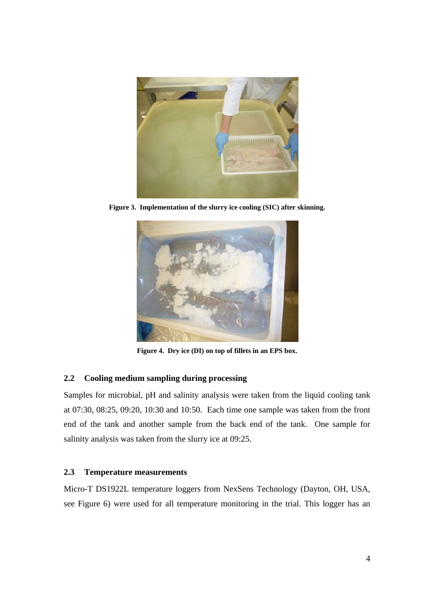

**Figure 3. Implementation of the slurry ice cooling (SIC) after skinning.** 



**Figure 4. Dry ice (DI) on top of fillets in an EPS box.** 

## **2.2 Cooling medium sampling during processing**

Samples for microbial, pH and salinity analysis were taken from the liquid cooling tank at 07:30, 08:25, 09:20, 10:30 and 10:50. Each time one sample was taken from the front end of the tank and another sample from the back end of the tank. One sample for salinity analysis was taken from the slurry ice at 09:25.

## **2.3 Temperature measurements**

Micro-T DS1922L temperature loggers from NexSens Technology (Dayton, OH, USA, see Figure 6) were used for all temperature monitoring in the trial. This logger has an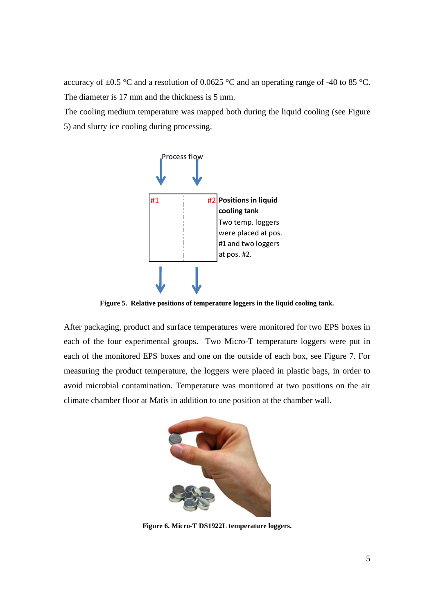accuracy of  $\pm 0.5$  °C and a resolution of 0.0625 °C and an operating range of -40 to 85 °C. The diameter is 17 mm and the thickness is 5 mm.

The cooling medium temperature was mapped both during the liquid cooling (see Figure 5) and slurry ice cooling during processing.



**Figure 5. Relative positions of temperature loggers in the liquid cooling tank.** 

After packaging, product and surface temperatures were monitored for two EPS boxes in each of the four experimental groups. Two Micro-T temperature loggers were put in each of the monitored EPS boxes and one on the outside of each box, see Figure 7. For measuring the product temperature, the loggers were placed in plastic bags, in order to avoid microbial contamination. Temperature was monitored at two positions on the air climate chamber floor at Matís in addition to one position at the chamber wall.



**Figure 6. Micro-T DS1922L temperature loggers.**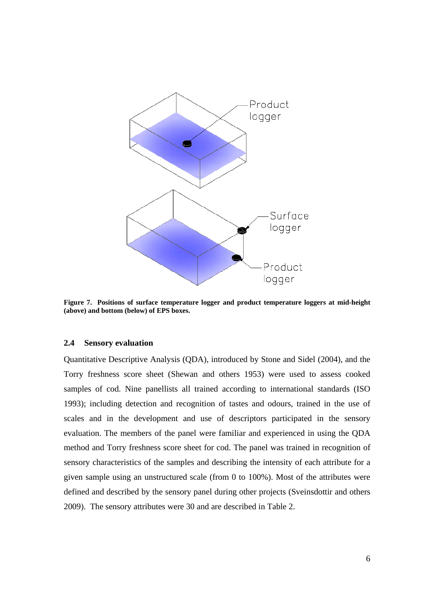

**Figure 7. Positions of surface temperature logger and product temperature loggers at mid-height (above) and bottom (below) of EPS boxes.** 

#### **2.4 Sensory evaluation**

Quantitative Descriptive Analysis (QDA), introduced by Stone and Sidel (2004), and the Torry freshness score sheet (Shewan and others 1953) were used to assess cooked samples of cod. Nine panellists all trained according to international standards (ISO 1993); including detection and recognition of tastes and odours, trained in the use of scales and in the development and use of descriptors participated in the sensory evaluation. The members of the panel were familiar and experienced in using the QDA method and Torry freshness score sheet for cod. The panel was trained in recognition of sensory characteristics of the samples and describing the intensity of each attribute for a given sample using an unstructured scale (from 0 to 100%). Most of the attributes were defined and described by the sensory panel during other projects (Sveinsdottir and others 2009). The sensory attributes were 30 and are described in Table 2.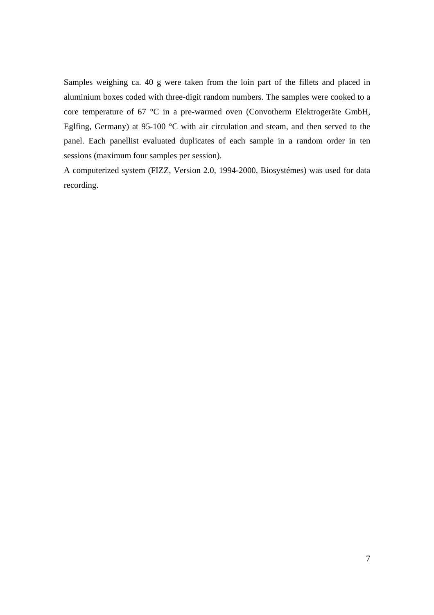Samples weighing ca. 40 g were taken from the loin part of the fillets and placed in aluminium boxes coded with three-digit random numbers. The samples were cooked to a core temperature of 67 °C in a pre-warmed oven (Convotherm Elektrogeräte GmbH, Eglfing, Germany) at 95-100 °C with air circulation and steam, and then served to the panel. Each panellist evaluated duplicates of each sample in a random order in ten sessions (maximum four samples per session).

A computerized system (FIZZ, Version 2.0, 1994-2000, Biosystémes) was used for data recording.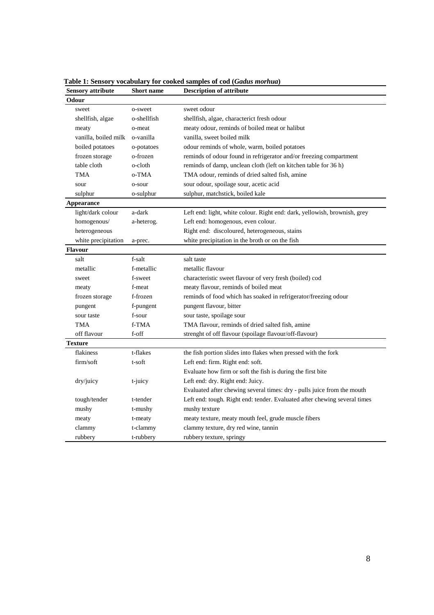| <b>Sensory attribute</b> | <b>Short name</b> | <b>Description of attribute</b>                                           |
|--------------------------|-------------------|---------------------------------------------------------------------------|
| Odour                    |                   |                                                                           |
| sweet                    | o-sweet           | sweet odour                                                               |
| shellfish, algae         | o-shellfish       | shellfish, algae, characterict fresh odour                                |
| meaty                    | o-meat            | meaty odour, reminds of boiled meat or halibut                            |
| vanilla, boiled milk     | o-vanilla         | vanilla, sweet boiled milk                                                |
| boiled potatoes          | o-potatoes        | odour reminds of whole, warm, boiled potatoes                             |
| frozen storage           | o-frozen          | reminds of odour found in refrigerator and/or freezing compartment        |
| table cloth              | o-cloth           | reminds of damp, unclean cloth (left on kitchen table for 36 h)           |
| <b>TMA</b>               | o-TMA             | TMA odour, reminds of dried salted fish, amine                            |
| sour                     | o-sour            | sour odour, spoilage sour, acetic acid                                    |
| sulphur                  | o-sulphur         | sulphur, matchstick, boiled kale                                          |
| <b>Appearance</b>        |                   |                                                                           |
| light/dark colour        | a-dark            | Left end: light, white colour. Right end: dark, yellowish, brownish, grey |
| homogenous/              | a-heterog.        | Left end: homogenous, even colour.                                        |
| heterogeneous            |                   | Right end: discoloured, heterogeneous, stains                             |
| white precipitation      | a-prec.           | white precipitation in the broth or on the fish                           |
| <b>Flavour</b>           |                   |                                                                           |
| salt                     | f-salt            | salt taste                                                                |
| metallic                 | f-metallic        | metallic flavour                                                          |
| sweet                    | f-sweet           | characteristic sweet flavour of very fresh (boiled) cod                   |
| meaty                    | f-meat            | meaty flavour, reminds of boiled meat                                     |
| frozen storage           | f-frozen          | reminds of food which has soaked in refrigerator/freezing odour           |
| pungent                  | f-pungent         | pungent flavour, bitter                                                   |
| sour taste               | f-sour            | sour taste, spoilage sour                                                 |
| <b>TMA</b>               | f-TMA             | TMA flavour, reminds of dried salted fish, amine                          |
| off flavour              | f-off             | strenght of off flavour (spoilage flavour/off-flavour)                    |
| <b>Texture</b>           |                   |                                                                           |
| flakiness                | t-flakes          | the fish portion slides into flakes when pressed with the fork            |
| firm/soft                | t-soft            | Left end: firm. Right end: soft.                                          |
|                          |                   | Evaluate how firm or soft the fish is during the first bite               |
| dry/juicy                | t-juicy           | Left end: dry. Right end: Juicy.                                          |
|                          |                   | Evaluated after chewing several times: dry - pulls juice from the mouth   |
| tough/tender             | t-tender          | Left end: tough. Right end: tender. Evaluated after chewing several times |
| mushy                    | t-mushy           | mushy texture                                                             |
| meaty                    | t-meaty           | meaty texture, meaty mouth feel, grude muscle fibers                      |
| clammy                   | t-clammy          | clammy texture, dry red wine, tannin                                      |
| rubbery                  | t-rubbery         | rubbery texture, springy                                                  |

**Table 1: Sensory vocabulary for cooked samples of cod (***Gadus morhua***)<br>
<b>Sensory attribute** Short name **Description of attribute**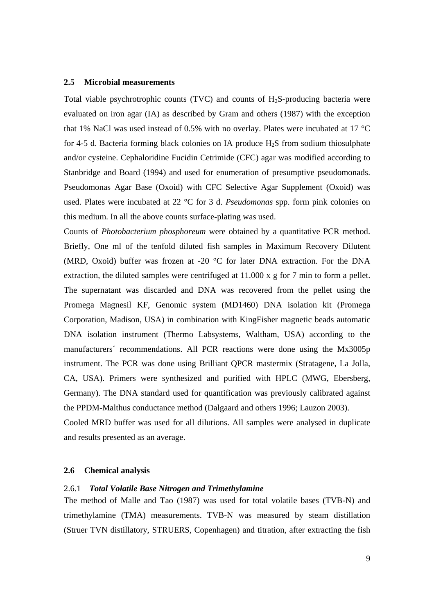#### **2.5 Microbial measurements**

Total viable psychrotrophic counts (TVC) and counts of  $H_2S$ -producing bacteria were evaluated on iron agar (IA) as described by Gram and others (1987) with the exception that 1% NaCl was used instead of 0.5% with no overlay. Plates were incubated at 17 °C for 4-5 d. Bacteria forming black colonies on IA produce  $H_2S$  from sodium thiosulphate and/or cysteine. Cephaloridine Fucidin Cetrimide (CFC) agar was modified according to Stanbridge and Board (1994) and used for enumeration of presumptive pseudomonads. Pseudomonas Agar Base (Oxoid) with CFC Selective Agar Supplement (Oxoid) was used. Plates were incubated at 22 °C for 3 d. *Pseudomonas* spp. form pink colonies on this medium. In all the above counts surface-plating was used.

Counts of *Photobacterium phosphoreum* were obtained by a quantitative PCR method. Briefly, One ml of the tenfold diluted fish samples in Maximum Recovery Dilutent (MRD, Oxoid) buffer was frozen at -20 °C for later DNA extraction. For the DNA extraction, the diluted samples were centrifuged at 11.000 x g for 7 min to form a pellet. The supernatant was discarded and DNA was recovered from the pellet using the Promega Magnesil KF, Genomic system (MD1460) DNA isolation kit (Promega Corporation, Madison, USA) in combination with KingFisher magnetic beads automatic DNA isolation instrument (Thermo Labsystems, Waltham, USA) according to the manufacturers´ recommendations. All PCR reactions were done using the Mx3005p instrument. The PCR was done using Brilliant QPCR mastermix (Stratagene, La Jolla, CA, USA). Primers were synthesized and purified with HPLC (MWG, Ebersberg, Germany). The DNA standard used for quantification was previously calibrated against the PPDM-Malthus conductance method (Dalgaard and others 1996; Lauzon 2003). Cooled MRD buffer was used for all dilutions. All samples were analysed in duplicate

and results presented as an average.

#### **2.6 Chemical analysis**

#### 2.6.1 *Total Volatile Base Nitrogen and Trimethylamine*

The method of Malle and Tao (1987) was used for total volatile bases (TVB-N) and trimethylamine (TMA) measurements. TVB-N was measured by steam distillation (Struer TVN distillatory, STRUERS, Copenhagen) and titration, after extracting the fish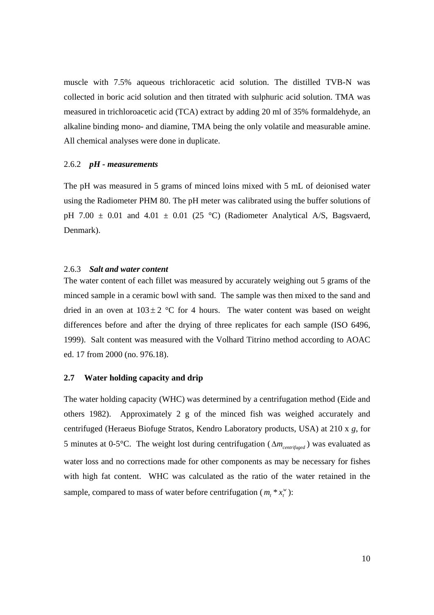muscle with 7.5% aqueous trichloracetic acid solution. The distilled TVB-N was collected in boric acid solution and then titrated with sulphuric acid solution. TMA was measured in trichloroacetic acid (TCA) extract by adding 20 ml of 35% formaldehyde, an alkaline binding mono- and diamine, TMA being the only volatile and measurable amine. All chemical analyses were done in duplicate.

#### 2.6.2 *pH - measurements*

The pH was measured in 5 grams of minced loins mixed with 5 mL of deionised water using the Radiometer PHM 80. The pH meter was calibrated using the buffer solutions of pH 7.00  $\pm$  0.01 and 4.01  $\pm$  0.01 (25 °C) (Radiometer Analytical A/S, Bagsvaerd, Denmark).

#### 2.6.3 *Salt and water content*

The water content of each fillet was measured by accurately weighing out 5 grams of the minced sample in a ceramic bowl with sand. The sample was then mixed to the sand and dried in an oven at  $103 \pm 2$  °C for 4 hours. The water content was based on weight differences before and after the drying of three replicates for each sample (ISO 6496, 1999). Salt content was measured with the Volhard Titrino method according to AOAC ed. 17 from 2000 (no. 976.18).

#### **2.7 Water holding capacity and drip**

The water holding capacity (WHC) was determined by a centrifugation method (Eide and others 1982). Approximately 2 g of the minced fish was weighed accurately and centrifuged (Heraeus Biofuge Stratos, Kendro Laboratory products, USA) at 210 x *g*, for 5 minutes at 0-5°C. The weight lost during centrifugation (Δ*mcentrifuged* ) was evaluated as water loss and no corrections made for other components as may be necessary for fishes with high fat content. WHC was calculated as the ratio of the water retained in the sample, compared to mass of water before centrifugation ( $m_t * x_t^w$ ):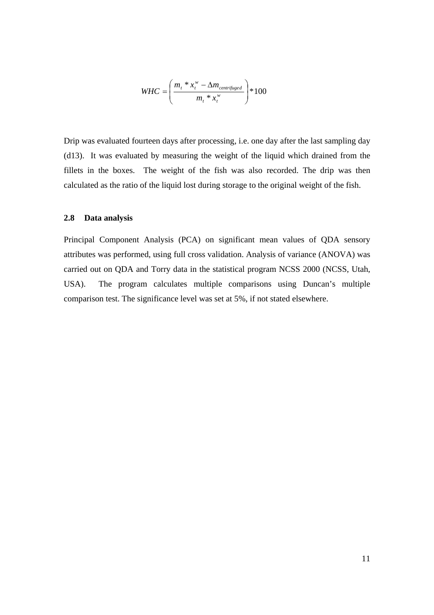$$
WHC = \left(\frac{m_t * x_t^w - \Delta m_{centrifuged}}{m_t * x_t^w}\right) * 100
$$

Drip was evaluated fourteen days after processing, i.e. one day after the last sampling day (d13). It was evaluated by measuring the weight of the liquid which drained from the fillets in the boxes. The weight of the fish was also recorded. The drip was then calculated as the ratio of the liquid lost during storage to the original weight of the fish.

#### **2.8 Data analysis**

Principal Component Analysis (PCA) on significant mean values of QDA sensory attributes was performed, using full cross validation. Analysis of variance (ANOVA) was carried out on QDA and Torry data in the statistical program NCSS 2000 (NCSS, Utah, USA). The program calculates multiple comparisons using Duncan's multiple comparison test. The significance level was set at 5%, if not stated elsewhere.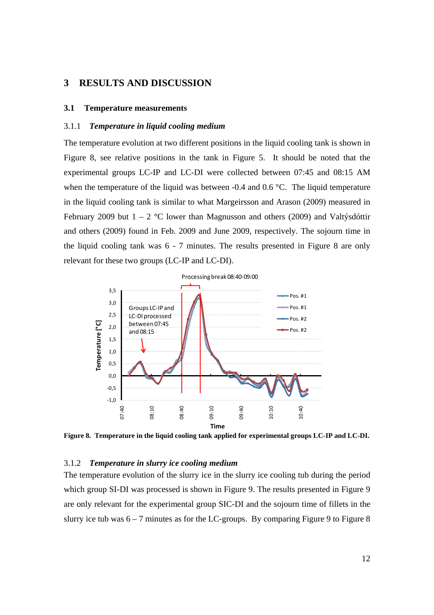## **3 RESULTS AND DISCUSSION**

#### **3.1 Temperature measurements**

#### 3.1.1 *Temperature in liquid cooling medium*

The temperature evolution at two different positions in the liquid cooling tank is shown in Figure 8, see relative positions in the tank in Figure 5. It should be noted that the experimental groups LC-IP and LC-DI were collected between 07:45 and 08:15 AM when the temperature of the liquid was between -0.4 and 0.6 °C. The liquid temperature in the liquid cooling tank is similar to what Margeirsson and Arason (2009) measured in February 2009 but  $1 - 2$  °C lower than Magnusson and others (2009) and Valtýsdóttir and others (2009) found in Feb. 2009 and June 2009, respectively. The sojourn time in the liquid cooling tank was 6 - 7 minutes. The results presented in Figure 8 are only relevant for these two groups (LC-IP and LC-DI).



**Figure 8. Temperature in the liquid cooling tank applied for experimental groups LC-IP and LC-DI.** 

#### 3.1.2 *Temperature in slurry ice cooling medium*

The temperature evolution of the slurry ice in the slurry ice cooling tub during the period which group SI-DI was processed is shown in Figure 9. The results presented in Figure 9 are only relevant for the experimental group SIC-DI and the sojourn time of fillets in the slurry ice tub was  $6 - 7$  minutes as for the LC-groups. By comparing Figure 9 to Figure 8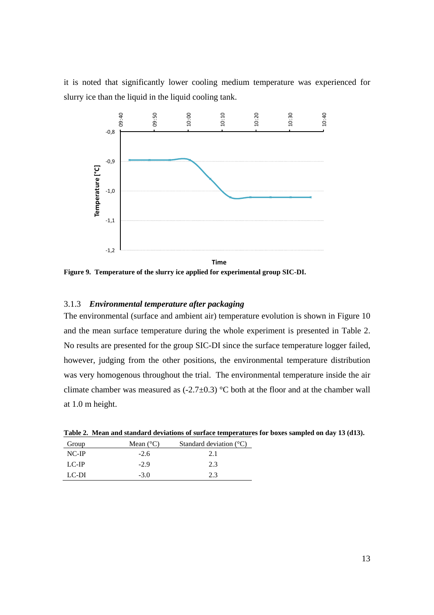it is noted that significantly lower cooling medium temperature was experienced for slurry ice than the liquid in the liquid cooling tank.



**Figure 9. Temperature of the slurry ice applied for experimental group SIC-DI.** 

## 3.1.3 *Environmental temperature after packaging*

The environmental (surface and ambient air) temperature evolution is shown in Figure 10 and the mean surface temperature during the whole experiment is presented in Table 2. No results are presented for the group SIC-DI since the surface temperature logger failed, however, judging from the other positions, the environmental temperature distribution was very homogenous throughout the trial. The environmental temperature inside the air climate chamber was measured as  $(-2.7\pm0.3)$  °C both at the floor and at the chamber wall at 1.0 m height.

| Tuble 20 Thrum and building a deviations of surface temperature to for bonts sampl |                    |                                  |  |
|------------------------------------------------------------------------------------|--------------------|----------------------------------|--|
| Group                                                                              | Mean $(^{\circ}C)$ | Standard deviation $(^{\circ}C)$ |  |
| $NC-IP$                                                                            | $-2.6$             | 2.1                              |  |
| $LC-IP$                                                                            | $-2.9$             | 2.3                              |  |
| LC-DI                                                                              | $-3.0$             | 2.3                              |  |

**Table 2. Mean and standard deviations of surface temperatures for boxes sampled on day 13 (d13).**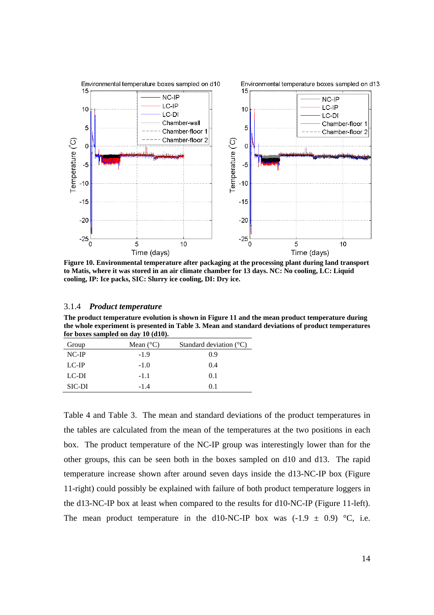

**Figure 10. Environmental temperature after packaging at the processing plant during land transport to Matis, where it was stored in an air climate chamber for 13 days. NC: No cooling, LC: Liquid cooling, IP: Ice packs, SIC: Slurry ice cooling, DI: Dry ice.** 

#### 3.1.4 *Product temperature*

**The product temperature evolution is shown in Figure 11 and the mean product temperature during the whole experiment is presented in Table 3. Mean and standard deviations of product temperatures for boxes sampled on day 10 (d10).** 

| Group         | Mean $(^{\circ}C)$ | Standard deviation $(^{\circ}C)$ |
|---------------|--------------------|----------------------------------|
| $NC-IP$       | $-1.9$             | 0.9                              |
| $LC-IP$       | $-1.0$             | 0.4                              |
| LC-DI         | $-1.1$             | 0.1                              |
| <b>SIC-DI</b> | $-1.4$             | 01                               |

Table 4 and Table 3. The mean and standard deviations of the product temperatures in the tables are calculated from the mean of the temperatures at the two positions in each box. The product temperature of the NC-IP group was interestingly lower than for the other groups, this can be seen both in the boxes sampled on d10 and d13. The rapid temperature increase shown after around seven days inside the d13-NC-IP box (Figure 11-right) could possibly be explained with failure of both product temperature loggers in the d13-NC-IP box at least when compared to the results for d10-NC-IP (Figure 11-left). The mean product temperature in the d10-NC-IP box was  $(-1.9 \pm 0.9)$  °C, i.e.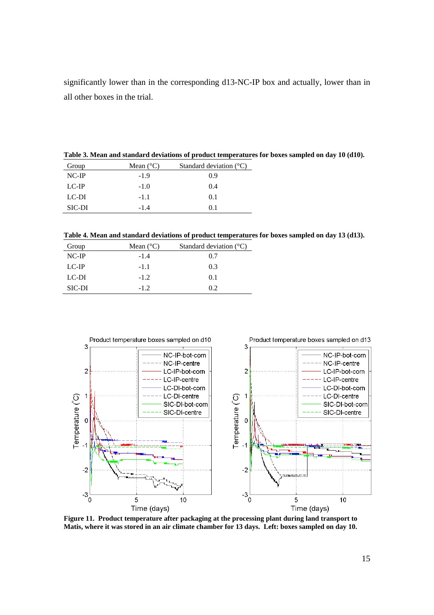significantly lower than in the corresponding d13-NC-IP box and actually, lower than in all other boxes in the trial.

**Table 3. Mean and standard deviations of product temperatures for boxes sampled on day 10 (d10).** 

| Group  | Mean $(^{\circ}C)$ | Standard deviation $(^{\circ}C)$ |
|--------|--------------------|----------------------------------|
| NC-IP  | $-1.9$             | 0.9                              |
| LC-IP  | $-1.0$             | 0.4                              |
| LC-DI  | $-1.1$             | 0.1                              |
| SIC-DI | -14                | 01                               |

**Table 4. Mean and standard deviations of product temperatures for boxes sampled on day 13 (d13).** 

| Group   | Mean $(^{\circ}C)$ | Standard deviation $(^{\circ}C)$ |
|---------|--------------------|----------------------------------|
| $NC-IP$ | $-1.4$             | 0.7                              |
| $LC-IP$ | $-1.1$             | 0.3                              |
| LC-DI   | $-1.2$             | 0.1                              |
| SIC-DI  | $-12$              | 02                               |



**Figure 11. Product temperature after packaging at the processing plant during land transport to Matis, where it was stored in an air climate chamber for 13 days. Left: boxes sampled on day 10.**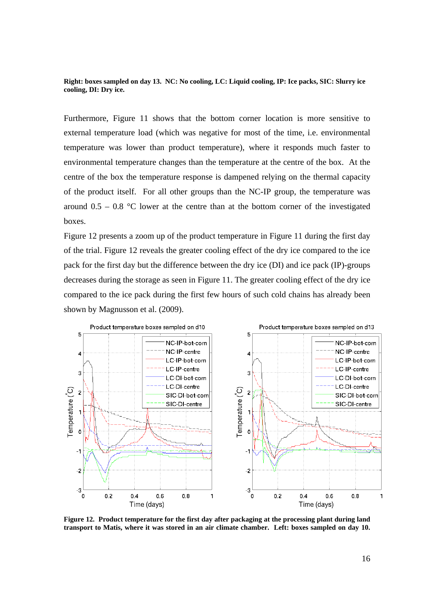**Right: boxes sampled on day 13. NC: No cooling, LC: Liquid cooling, IP: Ice packs, SIC: Slurry ice cooling, DI: Dry ice.** 

Furthermore, Figure 11 shows that the bottom corner location is more sensitive to external temperature load (which was negative for most of the time, i.e. environmental temperature was lower than product temperature), where it responds much faster to environmental temperature changes than the temperature at the centre of the box. At the centre of the box the temperature response is dampened relying on the thermal capacity of the product itself. For all other groups than the NC-IP group, the temperature was around  $0.5 - 0.8$  °C lower at the centre than at the bottom corner of the investigated boxes.

Figure 12 presents a zoom up of the product temperature in Figure 11 during the first day of the trial. Figure 12 reveals the greater cooling effect of the dry ice compared to the ice pack for the first day but the difference between the dry ice (DI) and ice pack (IP)-groups decreases during the storage as seen in Figure 11. The greater cooling effect of the dry ice compared to the ice pack during the first few hours of such cold chains has already been shown by Magnusson et al. (2009).



**Figure 12. Product temperature for the first day after packaging at the processing plant during land transport to Matis, where it was stored in an air climate chamber. Left: boxes sampled on day 10.**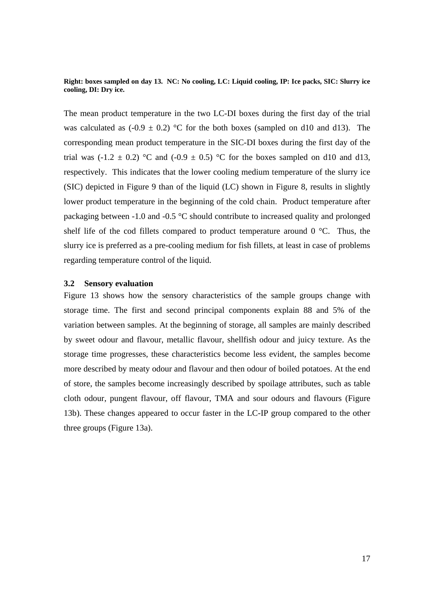**Right: boxes sampled on day 13. NC: No cooling, LC: Liquid cooling, IP: Ice packs, SIC: Slurry ice cooling, DI: Dry ice.** 

The mean product temperature in the two LC-DI boxes during the first day of the trial was calculated as  $(-0.9 \pm 0.2)$  °C for the both boxes (sampled on d10 and d13). The corresponding mean product temperature in the SIC-DI boxes during the first day of the trial was  $(-1.2 \pm 0.2)$  °C and  $(-0.9 \pm 0.5)$  °C for the boxes sampled on d10 and d13, respectively. This indicates that the lower cooling medium temperature of the slurry ice (SIC) depicted in Figure 9 than of the liquid (LC) shown in Figure 8, results in slightly lower product temperature in the beginning of the cold chain. Product temperature after packaging between -1.0 and -0.5 °C should contribute to increased quality and prolonged shelf life of the cod fillets compared to product temperature around  $0^{\circ}$ C. Thus, the slurry ice is preferred as a pre-cooling medium for fish fillets, at least in case of problems regarding temperature control of the liquid.

## **3.2 Sensory evaluation**

Figure 13 shows how the sensory characteristics of the sample groups change with storage time. The first and second principal components explain 88 and 5% of the variation between samples. At the beginning of storage, all samples are mainly described by sweet odour and flavour, metallic flavour, shellfish odour and juicy texture. As the storage time progresses, these characteristics become less evident, the samples become more described by meaty odour and flavour and then odour of boiled potatoes. At the end of store, the samples become increasingly described by spoilage attributes, such as table cloth odour, pungent flavour, off flavour, TMA and sour odours and flavours (Figure 13b). These changes appeared to occur faster in the LC-IP group compared to the other three groups (Figure 13a).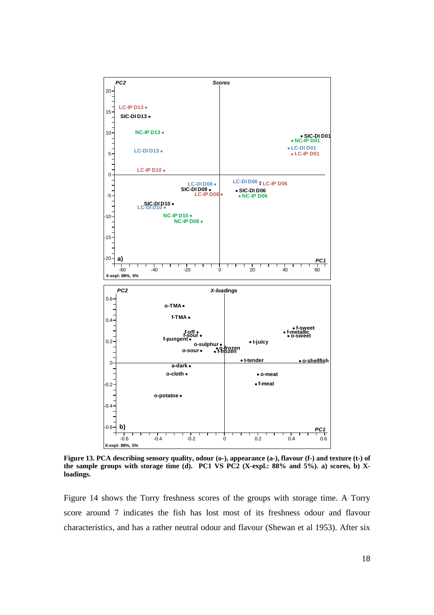

**Figure 13. PCA describing sensory quality, odour (o-), appearance (a-), flavour (f-) and texture (t-) of the sample groups with storage time (d). PC1 VS PC2 (X-expl.: 88% and 5%). a) scores, b) Xloadings.** 

Figure 14 shows the Torry freshness scores of the groups with storage time. A Torry score around 7 indicates the fish has lost most of its freshness odour and flavour characteristics, and has a rather neutral odour and flavour (Shewan et al 1953). After six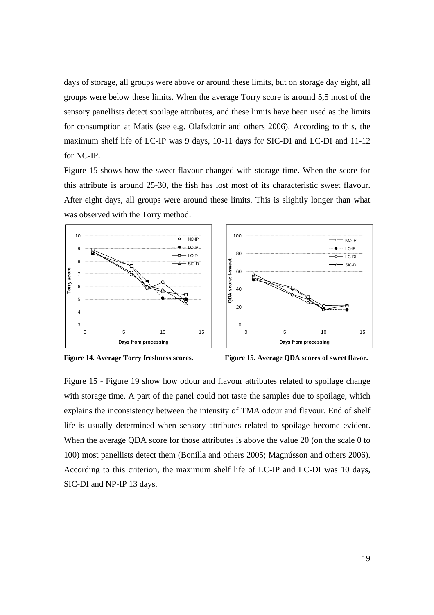days of storage, all groups were above or around these limits, but on storage day eight, all groups were below these limits. When the average Torry score is around 5,5 most of the sensory panellists detect spoilage attributes, and these limits have been used as the limits for consumption at Matis (see e.g. Olafsdottir and others 2006). According to this, the maximum shelf life of LC-IP was 9 days, 10-11 days for SIC-DI and LC-DI and 11-12 for NC-IP.

Figure 15 shows how the sweet flavour changed with storage time. When the score for this attribute is around 25-30, the fish has lost most of its characteristic sweet flavour. After eight days, all groups were around these limits. This is slightly longer than what was observed with the Torry method.



**Figure 14. Average Torry freshness scores. Figure 15. Average QDA scores of sweet flavor.** 

Figure 15 - Figure 19 show how odour and flavour attributes related to spoilage change with storage time. A part of the panel could not taste the samples due to spoilage, which explains the inconsistency between the intensity of TMA odour and flavour. End of shelf life is usually determined when sensory attributes related to spoilage become evident. When the average QDA score for those attributes is above the value 20 (on the scale 0 to 100) most panellists detect them (Bonilla and others 2005; Magnússon and others 2006). According to this criterion, the maximum shelf life of LC-IP and LC-DI was 10 days, SIC-DI and NP-IP 13 days.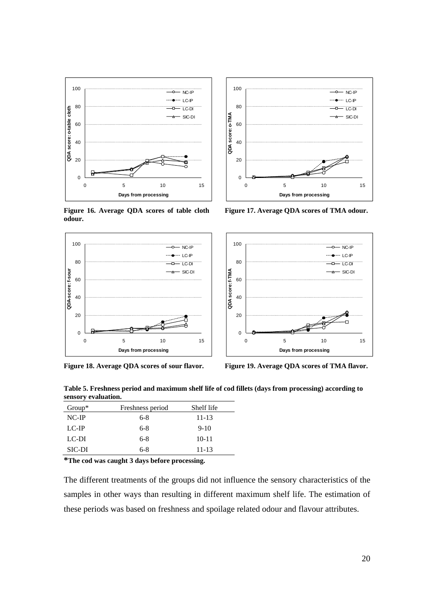

**Figure 16. Average QDA scores of table cloth odour.** 





**Figure 17. Average QDA scores of TMA odour.** 



Figure 18. Average QDA scores of sour flavor. Figure 19. Average QDA scores of TMA flavor.

**Table 5. Freshness period and maximum shelf life of cod fillets (days from processing) according to sensory evaluation.** 

| $Group^*$ | Freshness period | Shelf life |
|-----------|------------------|------------|
| NC-IP     | $6-8$            | 11-13      |
| $LC-IP$   | $6-8$            | $9-10$     |
| LC-DI     | $6-8$            | $10 - 11$  |
| SIC-DI    | $6-8$            | 11-13      |

**\*The cod was caught 3 days before processing.**

The different treatments of the groups did not influence the sensory characteristics of the samples in other ways than resulting in different maximum shelf life. The estimation of these periods was based on freshness and spoilage related odour and flavour attributes.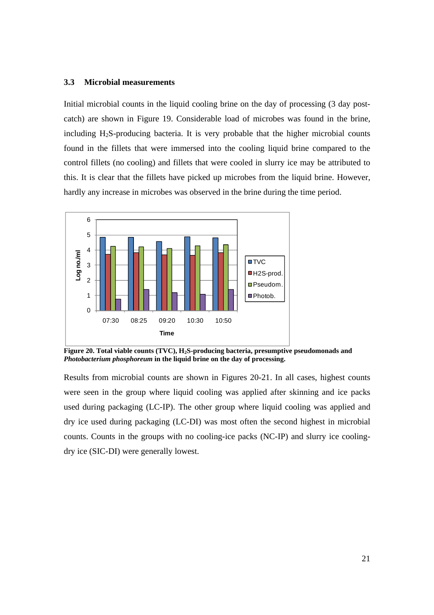#### **3.3 Microbial measurements**

Initial microbial counts in the liquid cooling brine on the day of processing (3 day postcatch) are shown in Figure 19. Considerable load of microbes was found in the brine, including  $H_2S$ -producing bacteria. It is very probable that the higher microbial counts found in the fillets that were immersed into the cooling liquid brine compared to the control fillets (no cooling) and fillets that were cooled in slurry ice may be attributed to this. It is clear that the fillets have picked up microbes from the liquid brine. However, hardly any increase in microbes was observed in the brine during the time period.



Figure 20. Total viable counts (TVC), H<sub>2</sub>S-producing bacteria, presumptive pseudomonads and *Photobacterium phosphoreum* **in the liquid brine on the day of processing.** 

Results from microbial counts are shown in Figures 20-21. In all cases, highest counts were seen in the group where liquid cooling was applied after skinning and ice packs used during packaging (LC-IP). The other group where liquid cooling was applied and dry ice used during packaging (LC-DI) was most often the second highest in microbial counts. Counts in the groups with no cooling-ice packs (NC-IP) and slurry ice coolingdry ice (SIC-DI) were generally lowest.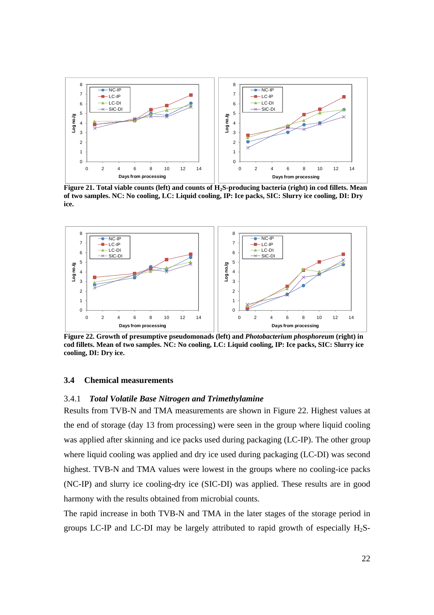

Figure 21. Total viable counts (left) and counts of H<sub>2</sub>S-producing bacteria (right) in cod fillets. Mean **of two samples. NC: No cooling, LC: Liquid cooling, IP: Ice packs, SIC: Slurry ice cooling, DI: Dry ice.** 



 **Figure 22. Growth of presumptive pseudomonads (left) and** *Photobacterium phosphoreum* **(right) in cod fillets. Mean of two samples. NC: No cooling, LC: Liquid cooling, IP: Ice packs, SIC: Slurry ice cooling, DI: Dry ice.** 

## **3.4 Chemical measurements**

### 3.4.1 *Total Volatile Base Nitrogen and Trimethylamine*

Results from TVB-N and TMA measurements are shown in Figure 22. Highest values at the end of storage (day 13 from processing) were seen in the group where liquid cooling was applied after skinning and ice packs used during packaging (LC-IP). The other group where liquid cooling was applied and dry ice used during packaging (LC-DI) was second highest. TVB-N and TMA values were lowest in the groups where no cooling-ice packs (NC-IP) and slurry ice cooling-dry ice (SIC-DI) was applied. These results are in good harmony with the results obtained from microbial counts.

The rapid increase in both TVB-N and TMA in the later stages of the storage period in groups LC-IP and LC-DI may be largely attributed to rapid growth of especially  $H_2S$ -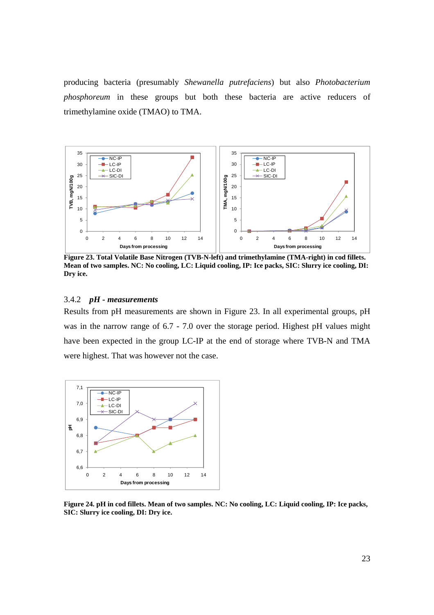producing bacteria (presumably *Shewanella putrefaciens*) but also *Photobacterium phosphoreum* in these groups but both these bacteria are active reducers of trimethylamine oxide (TMAO) to TMA.



 **Figure 23. Total Volatile Base Nitrogen (TVB-N-left) and trimethylamine (TMA-right) in cod fillets. Mean of two samples. NC: No cooling, LC: Liquid cooling, IP: Ice packs, SIC: Slurry ice cooling, DI: Dry ice.** 

## 3.4.2 *pH - measurements*

Results from pH measurements are shown in Figure 23. In all experimental groups, pH was in the narrow range of 6.7 - 7.0 over the storage period. Highest pH values might have been expected in the group LC-IP at the end of storage where TVB-N and TMA were highest. That was however not the case.



**Figure 24. pH in cod fillets. Mean of two samples. NC: No cooling, LC: Liquid cooling, IP: Ice packs, SIC: Slurry ice cooling, DI: Dry ice.**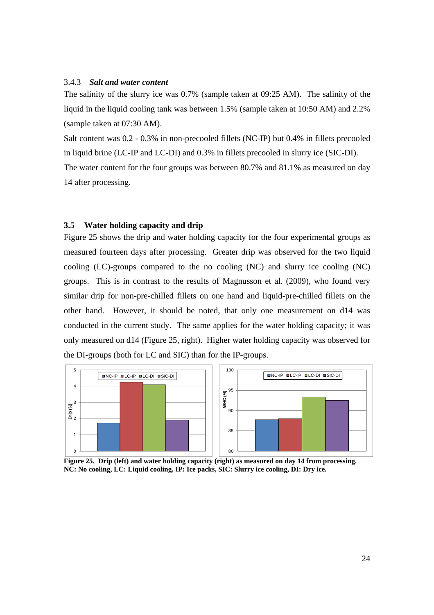#### 3.4.3 *Salt and water content*

The salinity of the slurry ice was 0.7% (sample taken at 09:25 AM). The salinity of the liquid in the liquid cooling tank was between 1.5% (sample taken at 10:50 AM) and 2.2% (sample taken at 07:30 AM).

Salt content was 0.2 - 0.3% in non-precooled fillets (NC-IP) but 0.4% in fillets precooled in liquid brine (LC-IP and LC-DI) and 0.3% in fillets precooled in slurry ice (SIC-DI). The water content for the four groups was between 80.7% and 81.1% as measured on day 14 after processing.

#### **3.5 Water holding capacity and drip**

Figure 25 shows the drip and water holding capacity for the four experimental groups as measured fourteen days after processing. Greater drip was observed for the two liquid cooling (LC)-groups compared to the no cooling (NC) and slurry ice cooling (NC) groups. This is in contrast to the results of Magnusson et al. (2009), who found very similar drip for non-pre-chilled fillets on one hand and liquid-pre-chilled fillets on the other hand. However, it should be noted, that only one measurement on d14 was conducted in the current study. The same applies for the water holding capacity; it was only measured on d14 (Figure 25, right). Higher water holding capacity was observed for the DI-groups (both for LC and SIC) than for the IP-groups.



**Figure 25. Drip (left) and water holding capacity (right) as measured on day 14 from processing. NC: No cooling, LC: Liquid cooling, IP: Ice packs, SIC: Slurry ice cooling, DI: Dry ice.**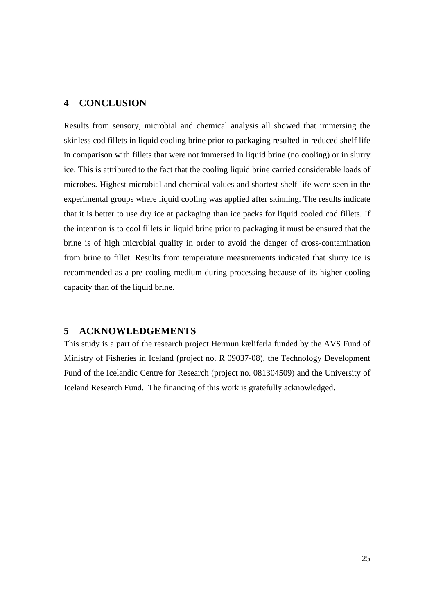## **4 CONCLUSION**

Results from sensory, microbial and chemical analysis all showed that immersing the skinless cod fillets in liquid cooling brine prior to packaging resulted in reduced shelf life in comparison with fillets that were not immersed in liquid brine (no cooling) or in slurry ice. This is attributed to the fact that the cooling liquid brine carried considerable loads of microbes. Highest microbial and chemical values and shortest shelf life were seen in the experimental groups where liquid cooling was applied after skinning. The results indicate that it is better to use dry ice at packaging than ice packs for liquid cooled cod fillets. If the intention is to cool fillets in liquid brine prior to packaging it must be ensured that the brine is of high microbial quality in order to avoid the danger of cross-contamination from brine to fillet. Results from temperature measurements indicated that slurry ice is recommended as a pre-cooling medium during processing because of its higher cooling capacity than of the liquid brine.

## **5 ACKNOWLEDGEMENTS**

This study is a part of the research project Hermun kæliferla funded by the AVS Fund of Ministry of Fisheries in Iceland (project no. R 09037-08), the Technology Development Fund of the Icelandic Centre for Research (project no. 081304509) and the University of Iceland Research Fund. The financing of this work is gratefully acknowledged.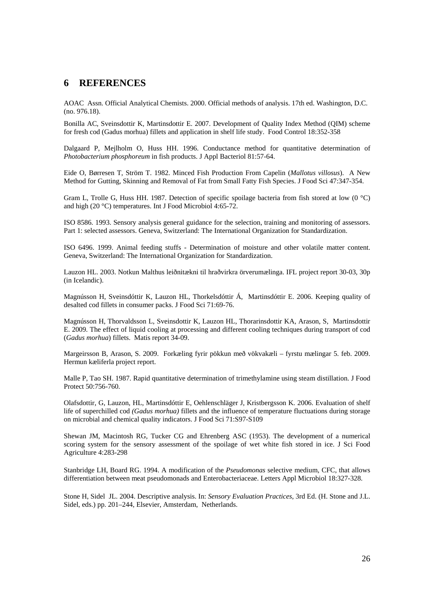### **6 REFERENCES**

AOAC Assn. Official Analytical Chemists. 2000. Official methods of analysis. 17th ed. Washington, D.C. (no. 976.18).

Bonilla AC, Sveinsdottir K, Martinsdottir E. 2007. Development of Quality Index Method (QIM) scheme for fresh cod (Gadus morhua) fillets and application in shelf life study. Food Control 18:352-358

Dalgaard P, Mejlholm O, Huss HH. 1996. Conductance method for quantitative determination of *Photobacterium phosphoreum* in fish products. J Appl Bacteriol 81:57-64.

Eide O, Børresen T, Ström T. 1982. Minced Fish Production From Capelin (*Mallotus villosus*). A New Method for Gutting, Skinning and Removal of Fat from Small Fatty Fish Species. J Food Sci 47:347-354.

Gram L, Trolle G, Huss HH. 1987. Detection of specific spoilage bacteria from fish stored at low (0 °C) and high (20 °C) temperatures. Int J Food Microbiol 4:65-72.

ISO 8586. 1993. Sensory analysis general guidance for the selection, training and monitoring of assessors. Part 1: selected assessors. Geneva, Switzerland: The International Organization for Standardization.

ISO 6496. 1999. Animal feeding stuffs - Determination of moisture and other volatile matter content. Geneva, Switzerland: The International Organization for Standardization.

Lauzon HL. 2003. Notkun Malthus leiðnitækni til hraðvirkra örverumælinga. IFL project report 30-03, 30p (in Icelandic).

Magnússon H, Sveinsdóttir K, Lauzon HL, Thorkelsdóttir Á, Martinsdóttir E. 2006. Keeping quality of desalted cod fillets in consumer packs. J Food Sci 71:69-76.

Magnússon H, Thorvaldsson L, Sveinsdottir K, Lauzon HL, Thorarinsdottir KA, Arason, S, Martinsdottir E. 2009. The effect of liquid cooling at processing and different cooling techniques during transport of cod (*Gadus morhua*) fillets. Matis report 34-09.

Margeirsson B, Arason, S. 2009. Forkæling fyrir pökkun með vökvakæli – fyrstu mælingar 5. feb. 2009. Hermun kæliferla project report.

Malle P, Tao SH. 1987. Rapid quantitative determination of trimethylamine using steam distillation. J Food Protect 50:756-760.

Olafsdottir, G, Lauzon, HL, Martinsdóttir E, Oehlenschläger J, Kristbergsson K. 2006. Evaluation of shelf life of superchilled cod *(Gadus morhua)* fillets and the influence of temperature fluctuations during storage on microbial and chemical quality indicators. J Food Sci 71:S97-S109

Shewan JM, Macintosh RG, Tucker CG and Ehrenberg ASC (1953). The development of a numerical scoring system for the sensory assessment of the spoilage of wet white fish stored in ice. J Sci Food Agriculture 4:283-298

Stanbridge LH, Board RG. 1994. A modification of the *Pseudomonas* selective medium, CFC, that allows differentiation between meat pseudomonads and Enterobacteriaceae. Letters Appl Microbiol 18:327-328.

Stone H, Sidel JL. 2004. Descriptive analysis. In: *Sensory Evaluation Practices*, 3rd Ed. (H. Stone and J.L. Sidel, eds.) pp. 201–244, Elsevier, Amsterdam, Netherlands.